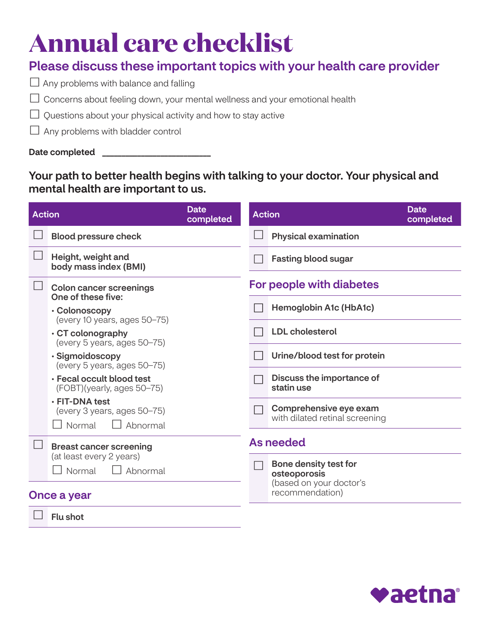# **Annual care checklist**

### Please discuss these important topics with your health care provider

- $\Box$  Any problems with balance and falling
- $\Box$  Concerns about feeling down, your mental wellness and your emotional health
- $\Box$  Questions about your physical activity and how to stay active
- $\Box$  Any problems with bladder control

Date completed \_

### Your path to better health begins with talking to your doctor. Your physical and mental health are important to us.

| <b>Action</b> |                                                                     | <b>Date</b><br>completed | <b>Action</b>    |                                                          | Date<br>completed |
|---------------|---------------------------------------------------------------------|--------------------------|------------------|----------------------------------------------------------|-------------------|
|               | <b>Blood pressure check</b>                                         |                          |                  | <b>Physical examination</b>                              |                   |
|               | Height, weight and<br>body mass index (BMI)                         |                          |                  | <b>Fasting blood sugar</b>                               |                   |
|               | <b>Colon cancer screenings</b><br>One of these five:                |                          |                  | For people with diabetes                                 |                   |
|               | • Colonoscopy<br>(every 10 years, ages 50-75)                       |                          |                  | <b>Hemoglobin A1c (HbA1c)</b>                            |                   |
|               | $\cdot$ CT colonography<br>(every 5 years, ages 50-75)              |                          |                  | <b>LDL</b> cholesterol                                   |                   |
|               | · Sigmoidoscopy<br>(every 5 years, ages 50-75)                      |                          |                  | Urine/blood test for protein                             |                   |
|               | • Fecal occult blood test<br>(FOBT)(yearly, ages 50–75)             |                          |                  | Discuss the importance of<br>statin use                  |                   |
|               | · FIT-DNA test<br>(every 3 years, ages 50-75)<br>Normal<br>Abnormal |                          |                  | Comprehensive eye exam<br>with dilated retinal screening |                   |
|               | <b>Breast cancer screening</b>                                      |                          | <b>As needed</b> |                                                          |                   |
|               | (at least every 2 years)<br>Normal<br>Abnormal                      |                          |                  | <b>Bone density test for</b><br>osteoporosis             |                   |
| Once a year   |                                                                     |                          |                  | (based on your doctor's<br>recommendation)               |                   |
|               | <b>Flu shot</b>                                                     |                          |                  |                                                          |                   |